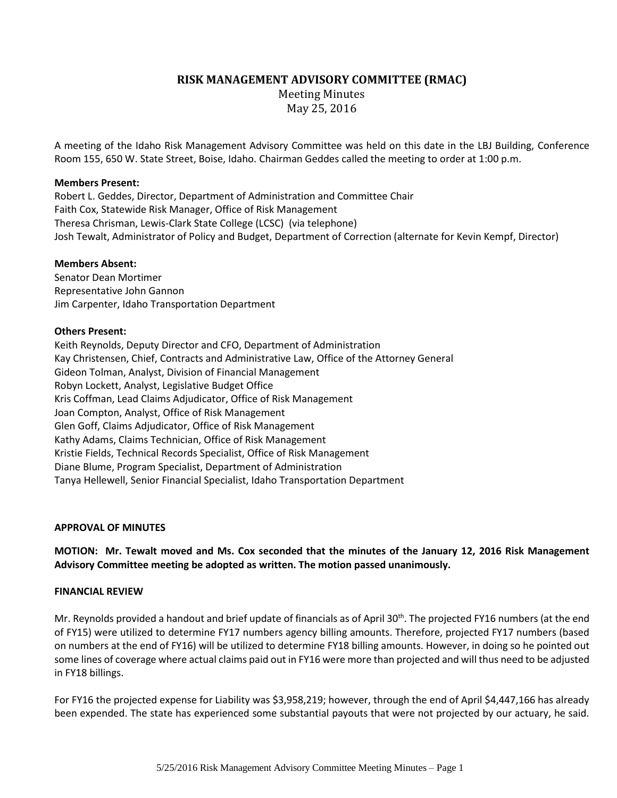# **RISK MANAGEMENT ADVISORY COMMITTEE (RMAC)**

Meeting Minutes May 25, 2016

A meeting of the Idaho Risk Management Advisory Committee was held on this date in the LBJ Building, Conference Room 155, 650 W. State Street, Boise, Idaho. Chairman Geddes called the meeting to order at 1:00 p.m.

## **Members Present:**

Robert L. Geddes, Director, Department of Administration and Committee Chair Faith Cox, Statewide Risk Manager, Office of Risk Management Theresa Chrisman, Lewis-Clark State College (LCSC) (via telephone) Josh Tewalt, Administrator of Policy and Budget, Department of Correction (alternate for Kevin Kempf, Director)

### **Members Absent:**

Senator Dean Mortimer Representative John Gannon Jim Carpenter, Idaho Transportation Department

### **Others Present:**

Keith Reynolds, Deputy Director and CFO, Department of Administration Kay Christensen, Chief, Contracts and Administrative Law, Office of the Attorney General Gideon Tolman, Analyst, Division of Financial Management Robyn Lockett, Analyst, Legislative Budget Office Kris Coffman, Lead Claims Adjudicator, Office of Risk Management Joan Compton, Analyst, Office of Risk Management Glen Goff, Claims Adjudicator, Office of Risk Management Kathy Adams, Claims Technician, Office of Risk Management Kristie Fields, Technical Records Specialist, Office of Risk Management Diane Blume, Program Specialist, Department of Administration Tanya Hellewell, Senior Financial Specialist, Idaho Transportation Department

### **APPROVAL OF MINUTES**

**MOTION: Mr. Tewalt moved and Ms. Cox seconded that the minutes of the January 12, 2016 Risk Management Advisory Committee meeting be adopted as written. The motion passed unanimously.**

### **FINANCIAL REVIEW**

Mr. Reynolds provided a handout and brief update of financials as of April 30<sup>th</sup>. The projected FY16 numbers (at the end of FY15) were utilized to determine FY17 numbers agency billing amounts. Therefore, projected FY17 numbers (based on numbers at the end of FY16) will be utilized to determine FY18 billing amounts. However, in doing so he pointed out some lines of coverage where actual claims paid out in FY16 were more than projected and will thus need to be adjusted in FY18 billings.

For FY16 the projected expense for Liability was \$3,958,219; however, through the end of April \$4,447,166 has already been expended. The state has experienced some substantial payouts that were not projected by our actuary, he said.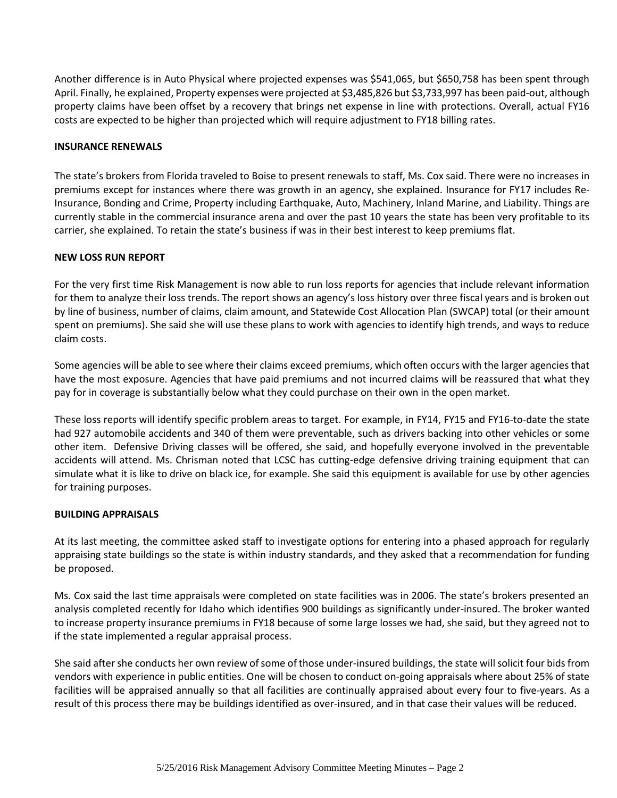Another difference is in Auto Physical where projected expenses was \$541,065, but \$650,758 has been spent through April. Finally, he explained, Property expenses were projected at \$3,485,826 but \$3,733,997 has been paid-out, although property claims have been offset by a recovery that brings net expense in line with protections. Overall, actual FY16 costs are expected to be higher than projected which will require adjustment to FY18 billing rates.

## **INSURANCE RENEWALS**

The state's brokers from Florida traveled to Boise to present renewals to staff, Ms. Cox said. There were no increases in premiums except for instances where there was growth in an agency, she explained. Insurance for FY17 includes Re-Insurance, Bonding and Crime, Property including Earthquake, Auto, Machinery, Inland Marine, and Liability. Things are currently stable in the commercial insurance arena and over the past 10 years the state has been very profitable to its carrier, she explained. To retain the state's business if was in their best interest to keep premiums flat.

### **NEW LOSS RUN REPORT**

For the very first time Risk Management is now able to run loss reports for agencies that include relevant information for them to analyze their loss trends. The report shows an agency's loss history over three fiscal years and is broken out by line of business, number of claims, claim amount, and Statewide Cost Allocation Plan (SWCAP) total (or their amount spent on premiums). She said she will use these plans to work with agencies to identify high trends, and ways to reduce claim costs.

Some agencies will be able to see where their claims exceed premiums, which often occurs with the larger agencies that have the most exposure. Agencies that have paid premiums and not incurred claims will be reassured that what they pay for in coverage is substantially below what they could purchase on their own in the open market.

These loss reports will identify specific problem areas to target. For example, in FY14, FY15 and FY16-to-date the state had 927 automobile accidents and 340 of them were preventable, such as drivers backing into other vehicles or some other item. Defensive Driving classes will be offered, she said, and hopefully everyone involved in the preventable accidents will attend. Ms. Chrisman noted that LCSC has cutting-edge defensive driving training equipment that can simulate what it is like to drive on black ice, for example. She said this equipment is available for use by other agencies for training purposes.

### **BUILDING APPRAISALS**

At its last meeting, the committee asked staff to investigate options for entering into a phased approach for regularly appraising state buildings so the state is within industry standards, and they asked that a recommendation for funding be proposed.

Ms. Cox said the last time appraisals were completed on state facilities was in 2006. The state's brokers presented an analysis completed recently for Idaho which identifies 900 buildings as significantly under-insured. The broker wanted to increase property insurance premiums in FY18 because of some large losses we had, she said, but they agreed not to if the state implemented a regular appraisal process.

She said after she conducts her own review of some of those under-insured buildings, the state will solicit four bids from vendors with experience in public entities. One will be chosen to conduct on-going appraisals where about 25% of state facilities will be appraised annually so that all facilities are continually appraised about every four to five-years. As a result of this process there may be buildings identified as over-insured, and in that case their values will be reduced.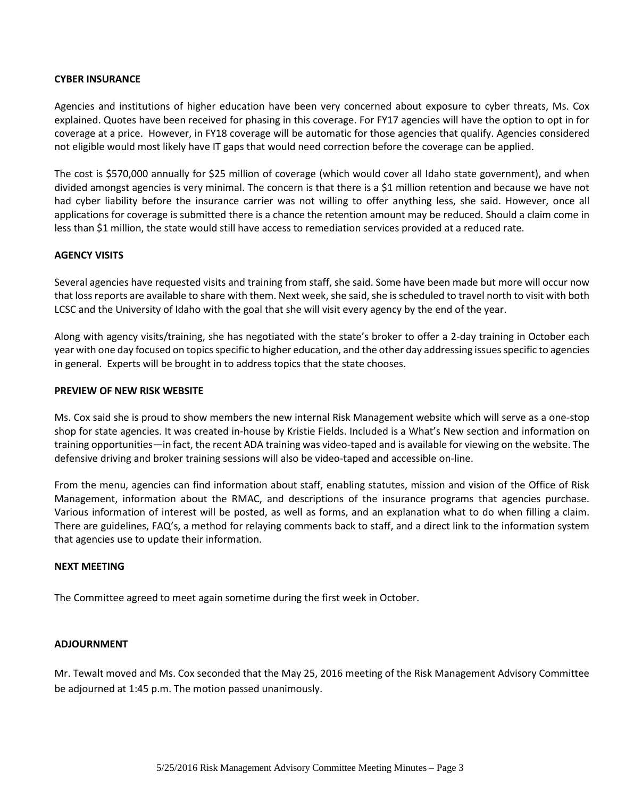### **CYBER INSURANCE**

Agencies and institutions of higher education have been very concerned about exposure to cyber threats, Ms. Cox explained. Quotes have been received for phasing in this coverage. For FY17 agencies will have the option to opt in for coverage at a price. However, in FY18 coverage will be automatic for those agencies that qualify. Agencies considered not eligible would most likely have IT gaps that would need correction before the coverage can be applied.

The cost is \$570,000 annually for \$25 million of coverage (which would cover all Idaho state government), and when divided amongst agencies is very minimal. The concern is that there is a \$1 million retention and because we have not had cyber liability before the insurance carrier was not willing to offer anything less, she said. However, once all applications for coverage is submitted there is a chance the retention amount may be reduced. Should a claim come in less than \$1 million, the state would still have access to remediation services provided at a reduced rate.

### **AGENCY VISITS**

Several agencies have requested visits and training from staff, she said. Some have been made but more will occur now that loss reports are available to share with them. Next week, she said, she is scheduled to travel north to visit with both LCSC and the University of Idaho with the goal that she will visit every agency by the end of the year.

Along with agency visits/training, she has negotiated with the state's broker to offer a 2-day training in October each year with one day focused on topics specific to higher education, and the other day addressing issues specific to agencies in general. Experts will be brought in to address topics that the state chooses.

### **PREVIEW OF NEW RISK WEBSITE**

Ms. Cox said she is proud to show members the new internal Risk Management website which will serve as a one-stop shop for state agencies. It was created in-house by Kristie Fields. Included is a What's New section and information on training opportunities—in fact, the recent ADA training was video-taped and is available for viewing on the website. The defensive driving and broker training sessions will also be video-taped and accessible on-line.

From the menu, agencies can find information about staff, enabling statutes, mission and vision of the Office of Risk Management, information about the RMAC, and descriptions of the insurance programs that agencies purchase. Various information of interest will be posted, as well as forms, and an explanation what to do when filling a claim. There are guidelines, FAQ's, a method for relaying comments back to staff, and a direct link to the information system that agencies use to update their information.

### **NEXT MEETING**

The Committee agreed to meet again sometime during the first week in October.

### **ADJOURNMENT**

Mr. Tewalt moved and Ms. Cox seconded that the May 25, 2016 meeting of the Risk Management Advisory Committee be adjourned at 1:45 p.m. The motion passed unanimously.